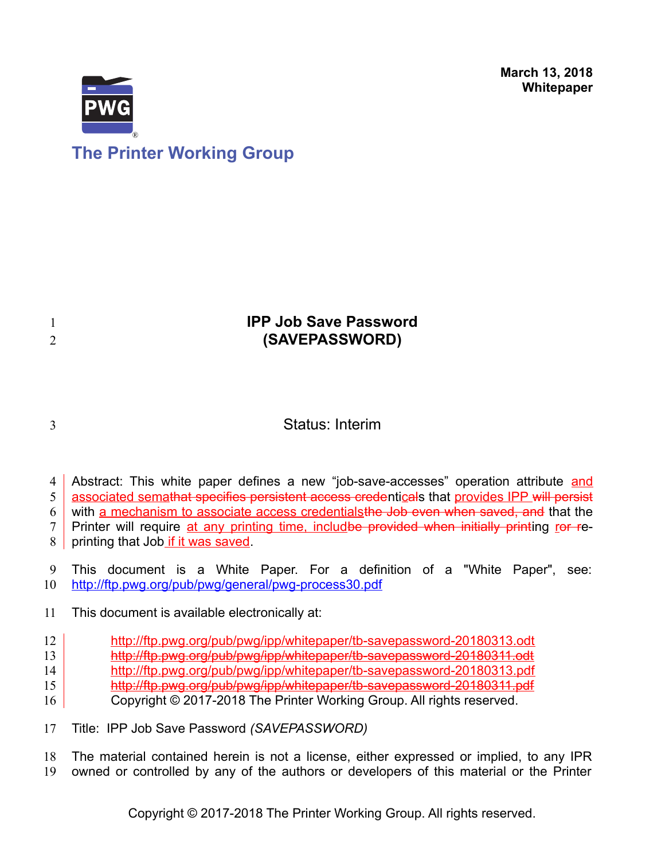

# **The Printer Working Group**

# **IPP Job Save Password (SAVEPASSWORD)**

3

1 2

# Status: Interim

Abstract: This white paper defines a new "job-save-accesses" operation attribute and 4

associated semathat specifies persistent access credenticals that provides IPP will persist 5

with a mechanism to associate access credentials the Job even when saved, and that the 6

Printer will require at any printing time, includbe provided when initially printing ror re-7

printing that Job if it was saved. 8

This document is a White Paper. For a definition of a "White Paper", see: <http://ftp.pwg.org/pub/pwg/general/pwg-process30.pdf> 9 10

This document is available electronically at: 11

- <http://ftp.pwg.org/pub/pwg/ipp/whitepaper/tb-savepassword-20180313.odt> 12
- <http://ftp.pwg.org/pub/pwg/ipp/whitepaper/tb-savepassword-20180311.odt> 13
- <http://ftp.pwg.org/pub/pwg/ipp/whitepaper/tb-savepassword-20180313.pdf> 14
- <http://ftp.pwg.org/pub/pwg/ipp/whitepaper/tb-savepassword-20180311.pdf> 15
- Copyright © 2017-2018 The Printer Working Group. All rights reserved. 16
- Title: IPP Job Save Password *(SAVEPASSWORD)* 17

The material contained herein is not a license, either expressed or implied, to any IPR owned or controlled by any of the authors or developers of this material or the Printer 18 19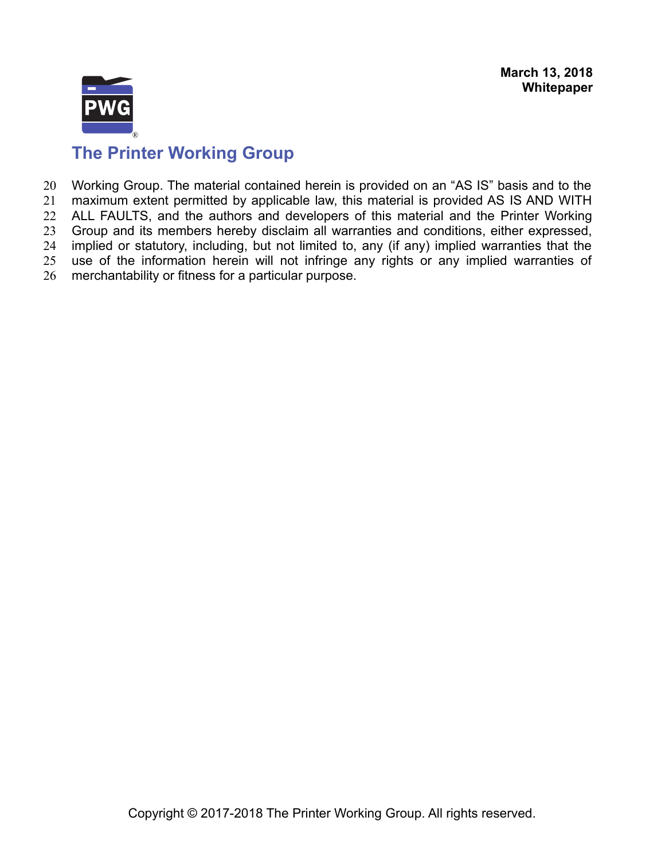

Working Group. The material contained herein is provided on an "AS IS" basis and to the maximum extent permitted by applicable law, this material is provided AS IS AND WITH ALL FAULTS, and the authors and developers of this material and the Printer Working Group and its members hereby disclaim all warranties and conditions, either expressed, implied or statutory, including, but not limited to, any (if any) implied warranties that the use of the information herein will not infringe any rights or any implied warranties of merchantability or fitness for a particular purpose. 20 21 22 23 24 25 26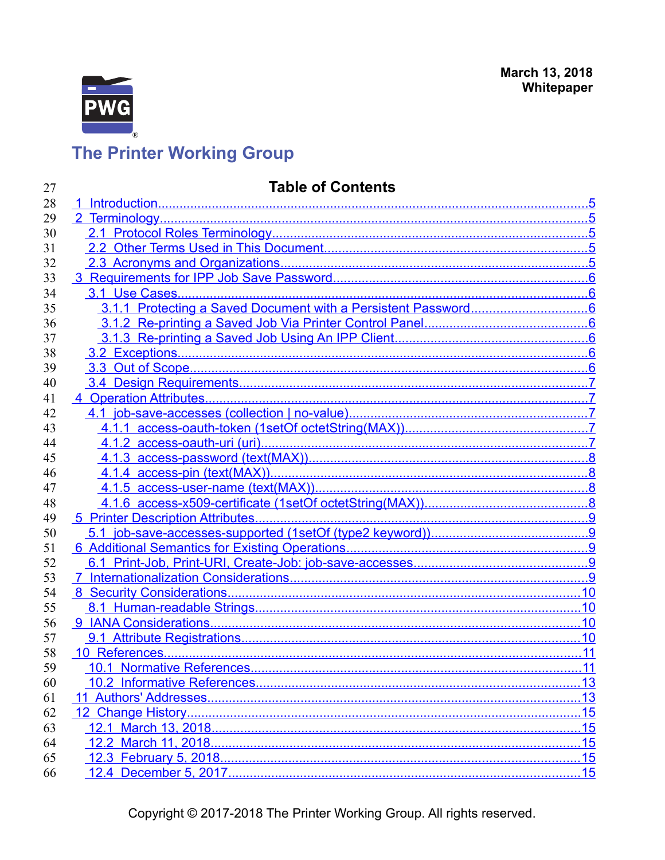

# **Table of Contents**

| 27 | <b>Table of Contents</b> |                  |  |
|----|--------------------------|------------------|--|
| 28 |                          |                  |  |
| 29 |                          |                  |  |
| 30 |                          |                  |  |
| 31 |                          |                  |  |
| 32 |                          |                  |  |
| 33 |                          |                  |  |
| 34 |                          |                  |  |
| 35 |                          |                  |  |
| 36 |                          |                  |  |
| 37 |                          |                  |  |
| 38 |                          |                  |  |
| 39 |                          |                  |  |
| 40 |                          |                  |  |
| 41 |                          |                  |  |
| 42 |                          |                  |  |
| 43 |                          |                  |  |
| 44 |                          |                  |  |
| 45 |                          |                  |  |
| 46 |                          |                  |  |
| 47 |                          |                  |  |
| 48 |                          |                  |  |
| 49 |                          |                  |  |
| 50 |                          |                  |  |
| 51 |                          |                  |  |
| 52 |                          |                  |  |
| 53 |                          |                  |  |
| 54 |                          |                  |  |
| 55 |                          |                  |  |
| 56 |                          |                  |  |
| 57 |                          |                  |  |
| 58 |                          |                  |  |
| 59 |                          | 11               |  |
| 60 |                          | .13              |  |
| 61 |                          |                  |  |
| 62 |                          |                  |  |
| 63 |                          |                  |  |
| 64 |                          |                  |  |
| 65 |                          |                  |  |
| 66 | 12.4 December 5, 2017.   | 15 <sup>15</sup> |  |

Copyright © 2017-2018 The Printer Working Group. All rights reserved.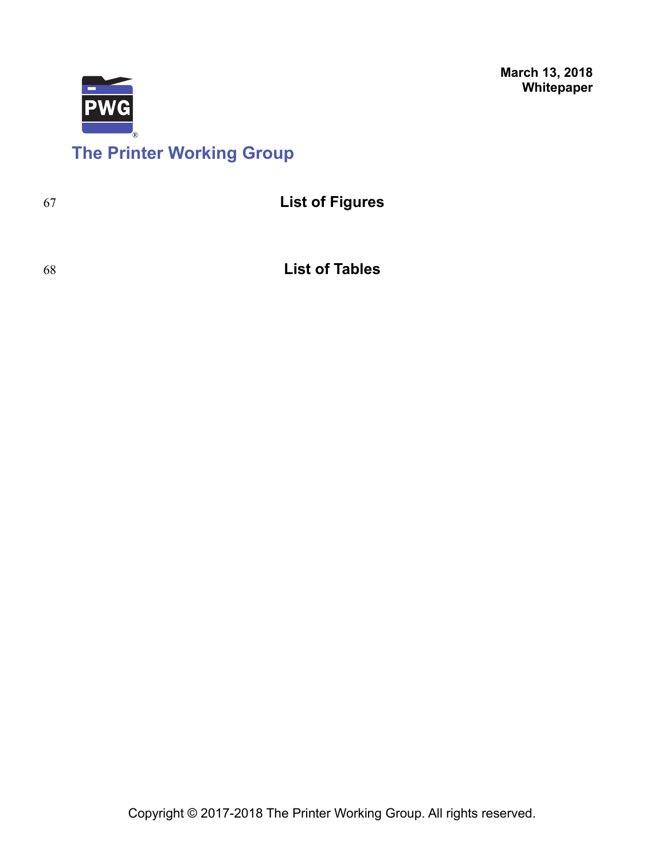

# **The Printer Working Group**

67

68

**List of Tables**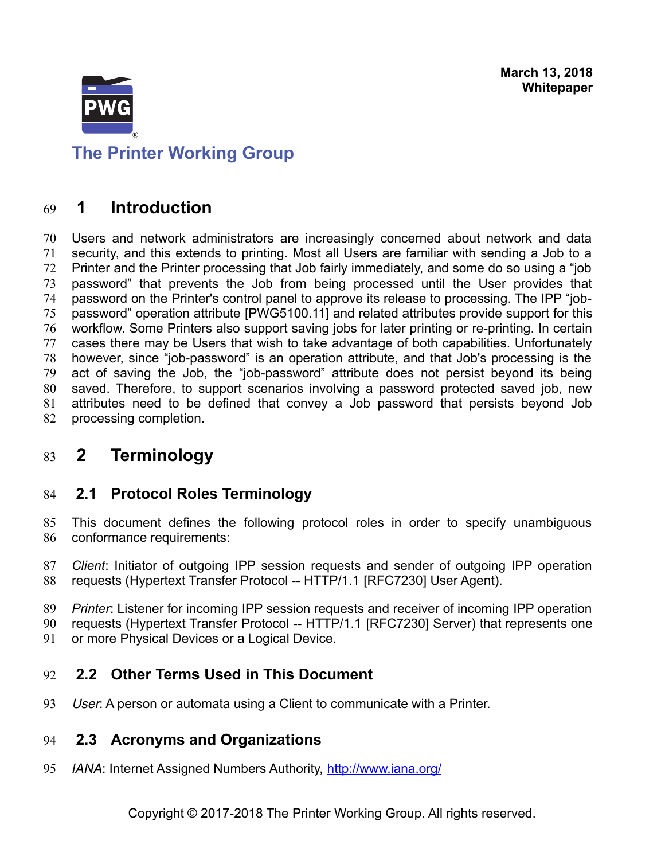

<span id="page-4-4"></span>**The Printer Working Group**

## **1 Introduction** 69

Users and network administrators are increasingly concerned about network and data security, and this extends to printing. Most all Users are familiar with sending a Job to a Printer and the Printer processing that Job fairly immediately, and some do so using a "job password" that prevents the Job from being processed until the User provides that password on the Printer's control panel to approve its release to processing. The IPP "jobpassword" operation attribute [\[PWG5100.11\]](#page-13-0) and related attributes provide support for this workflow. Some Printers also support saving jobs for later printing or re-printing. In certain cases there may be Users that wish to take advantage of both capabilities. Unfortunately however, since "job-password" is an operation attribute, and that Job's processing is the act of saving the Job, the "job-password" attribute does not persist beyond its being saved. Therefore, to support scenarios involving a password protected saved job, new attributes need to be defined that convey a Job password that persists beyond Job processing completion. 70 71 72 73 74 75 76 77 78 79 80 81 82

## <span id="page-4-3"></span> **2 Terminology** 83

## <span id="page-4-2"></span> **2.1 Protocol Roles Terminology** 84

This document defines the following protocol roles in order to specify unambiguous conformance requirements: 85 86

*Client*: Initiator of outgoing IPP session requests and sender of outgoing IPP operation requests (Hypertext Transfer Protocol -- HTTP/1.1 [\[RFC7230\]](#page-14-0) User Agent). 87 88

*Printer*: Listener for incoming IPP session requests and receiver of incoming IPP operation 89

requests (Hypertext Transfer Protocol -- HTTP/1.1 [\[RFC7230\]](#page-14-0) Server) that represents one 90

or more Physical Devices or a Logical Device. 91

### <span id="page-4-1"></span> **2.2 Other Terms Used in This Document** 92

User: A person or automata using a Client to communicate with a Printer. 93

### <span id="page-4-0"></span> **2.3 Acronyms and Organizations** 94

*IANA*: Internet Assigned Numbers Authority,<http://www.iana.org/> 95

Copyright © 2017-2018 The Printer Working Group. All rights reserved.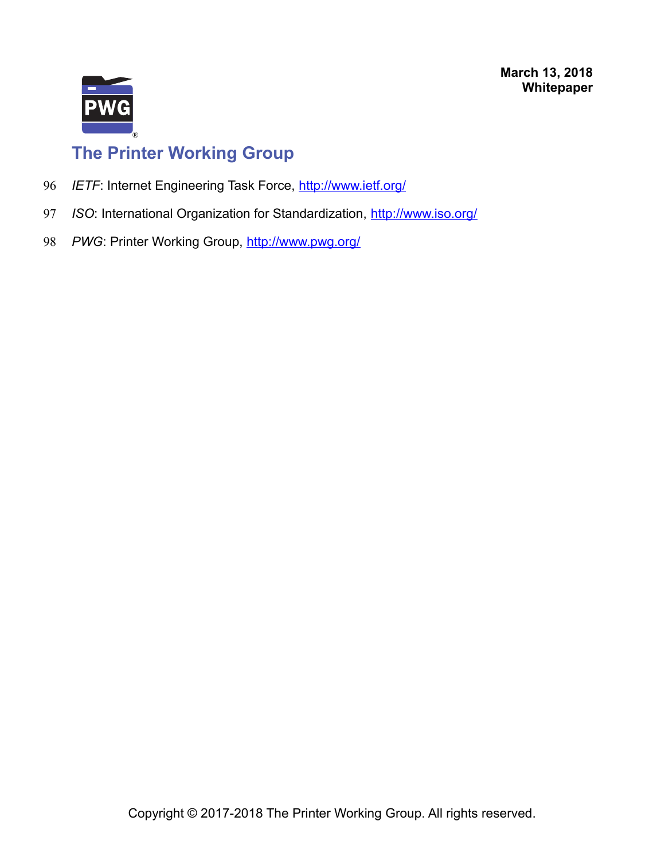

- *IETF*: Internet Engineering Task Force,<http://www.ietf.org/> 96
- *ISO*: International Organization for Standardization,<http://www.iso.org/> 97
- PWG: Printer Working Group,<http://www.pwg.org/> 98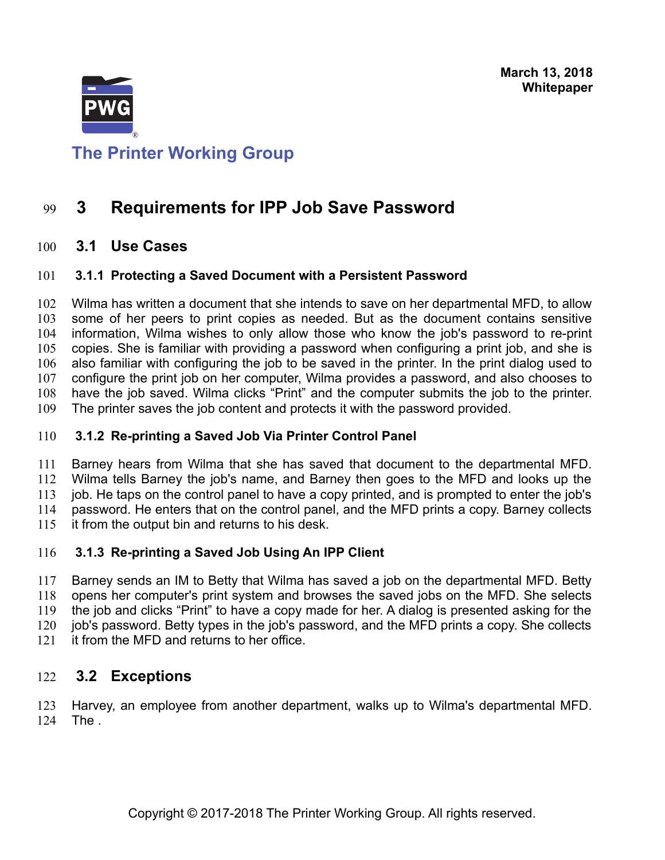

# <span id="page-6-5"></span>**The Printer Working Group**

## **3 Requirements for IPP Job Save Password** 99

### <span id="page-6-4"></span> **3.1 Use Cases** 100

### <span id="page-6-3"></span> **3.1.1 Protecting a Saved Document with a Persistent Password** 101

Wilma has written a document that she intends to save on her departmental MFD, to allow some of her peers to print copies as needed. But as the document contains sensitive information, Wilma wishes to only allow those who know the job's password to re-print copies. She is familiar with providing a password when configuring a print job, and she is also familiar with configuring the job to be saved in the printer. In the print dialog used to configure the print job on her computer, Wilma provides a password, and also chooses to have the job saved. Wilma clicks "Print" and the computer submits the job to the printer. The printer saves the job content and protects it with the password provided. 102 103 104 105 106 107 108 109

### <span id="page-6-2"></span> **3.1.2 Re-printing a Saved Job Via Printer Control Panel** 110

Barney hears from Wilma that she has saved that document to the departmental MFD. Wilma tells Barney the job's name, and Barney then goes to the MFD and looks up the job. He taps on the control panel to have a copy printed, and is prompted to enter the job's password. He enters that on the control panel, and the MFD prints a copy. Barney collects it from the output bin and returns to his desk. 111 112 113 114 115

### <span id="page-6-1"></span> **3.1.3 Re-printing a Saved Job Using An IPP Client** 116

Barney sends an IM to Betty that Wilma has saved a job on the departmental MFD. Betty opens her computer's print system and browses the saved jobs on the MFD. She selects the job and clicks "Print" to have a copy made for her. A dialog is presented asking for the job's password. Betty types in the job's password, and the MFD prints a copy. She collects it from the MFD and returns to her office. 117 118 119 120 121

### <span id="page-6-0"></span> **3.2 Exceptions** 122

Harvey, an employee from another department, walks up to Wilma's departmental MFD. The . 123 124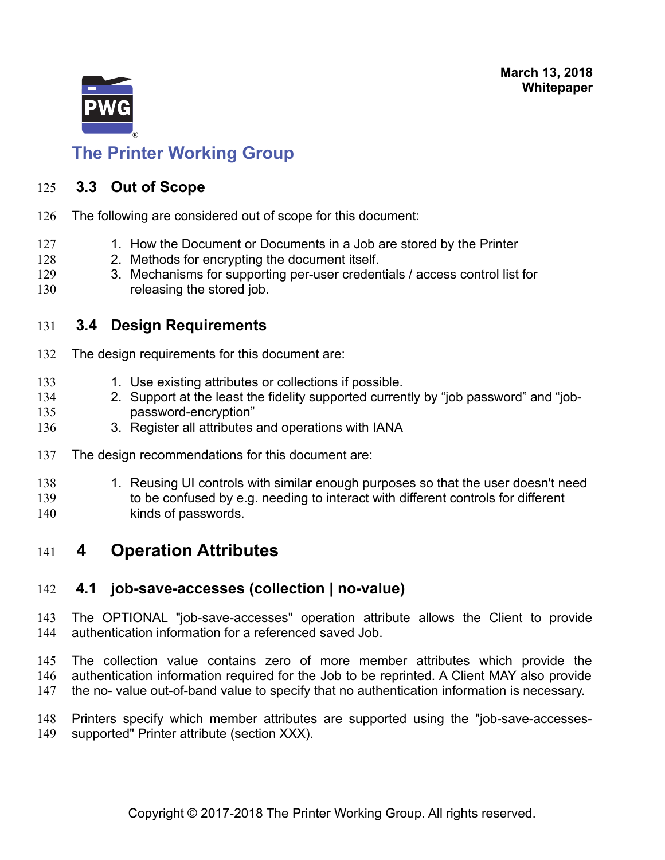

## <span id="page-7-3"></span> **3.3 Out of Scope** 125

- The following are considered out of scope for this document: 126
- 1. How the Document or Documents in a Job are stored by the Printer 127
- 2. Methods for encrypting the document itself. 128
- 3. Mechanisms for supporting per-user credentials / access control list for releasing the stored job. 129 130

## <span id="page-7-2"></span> **3.4 Design Requirements** 131

- The design requirements for this document are: 132
- 1. Use existing attributes or collections if possible. 133
- 2. Support at the least the fidelity supported currently by "job password" and "jobpassword-encryption" 134 135
- 3. Register all attributes and operations with IANA 136
- The design recommendations for this document are: 137
- 1. Reusing UI controls with similar enough purposes so that the user doesn't need 138
- to be confused by e.g. needing to interact with different controls for different kinds of passwords. 139 140

## <span id="page-7-1"></span> **4 Operation Attributes** 141

### <span id="page-7-0"></span> **4.1 job-save-accesses (collection | no-value)** 142

The OPTIONAL "job-save-accesses" operation attribute allows the Client to provide authentication information for a referenced saved Job. 143 144

The collection value contains zero of more member attributes which provide the authentication information required for the Job to be reprinted. A Client MAY also provide the no- value out-of-band value to specify that no authentication information is necessary. 145 146 147

Printers specify which member attributes are supported using the "job-save-accessessupported" Printer attribute (section XXX). 148 149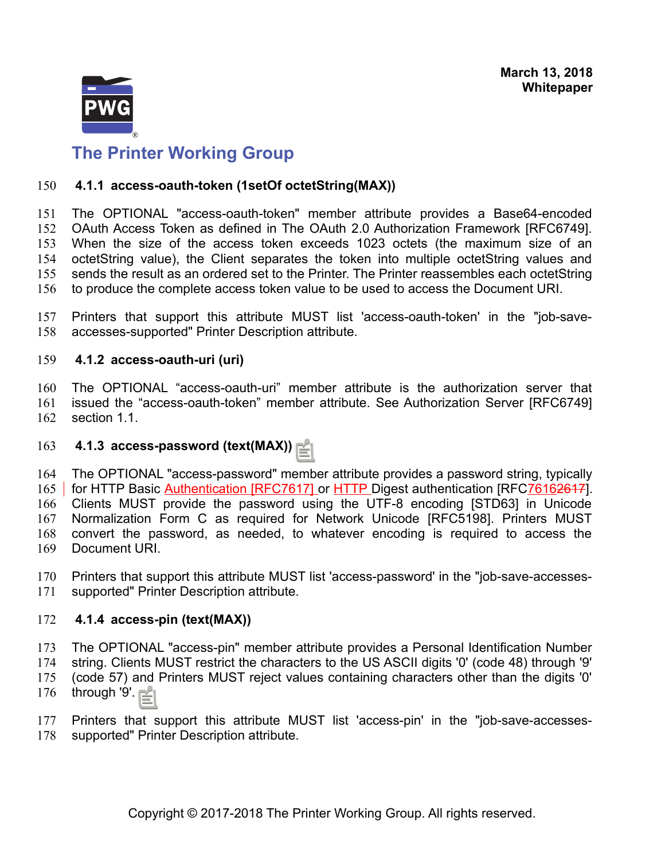

### <span id="page-8-3"></span> **4.1.1 access-oauth-token (1setOf octetString(MAX))** 150

The OPTIONAL "access-oauth-token" member attribute provides a Base64-encoded OAuth Access Token as defined in The OAuth 2.0 Authorization Framework [RFC6749]. When the size of the access token exceeds 1023 octets (the maximum size of an octetString value), the Client separates the token into multiple octetString values and sends the result as an ordered set to the Printer. The Printer reassembles each octetString to produce the complete access token value to be used to access the Document URI. 151 152 153 154 155 156

Printers that support this attribute MUST list 'access-oauth-token' in the "job-saveaccesses-supported" Printer Description attribute. 157 158

### <span id="page-8-2"></span> **4.1.2 access-oauth-uri (uri)** 159

The OPTIONAL "access-oauth-uri" member attribute is the authorization server that issued the "access-oauth-token" member attribute. See Authorization Server [RFC6749] section 1.1. 160 161 162

### <span id="page-8-1"></span> **4.1.3 access-password (text(MAX))** 163

The OPTIONAL "access-password" member attribute provides a password string, typically for HTTP Basic Authentication [RFC7617] or HTTP Digest authentication [RFC76162617]. Clients MUST provide the password using the UTF-8 encoding [STD63] in Unicode Normalization Form C as required for Network Unicode [RFC5198]. Printers MUST convert the password, as needed, to whatever encoding is required to access the Document URI. 164 165 166 167 168 169

Printers that support this attribute MUST list 'access-password' in the "job-save-accessessupported" Printer Description attribute. 170 171

### <span id="page-8-0"></span> **4.1.4 access-pin (text(MAX))** 172

The OPTIONAL "access-pin" member attribute provides a Personal Identification Number string. Clients MUST restrict the characters to the US ASCII digits '0' (code 48) through '9' (code 57) and Printers MUST reject values containing characters other than the digits '0' 173 174 175

through '9'. 176

Printers that support this attribute MUST list 'access-pin' in the "job-save-accessessupported" Printer Description attribute. 177 178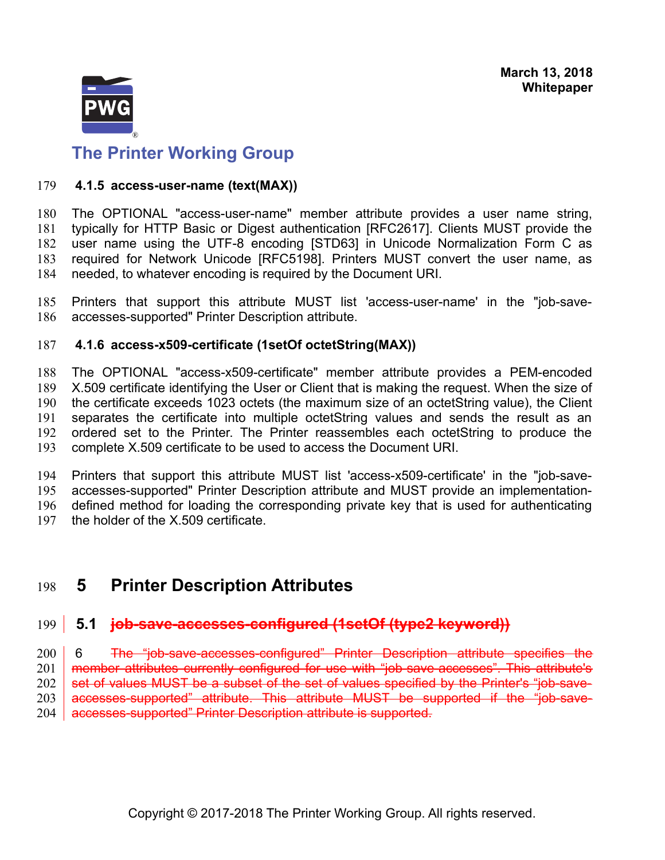

### <span id="page-9-2"></span> **4.1.5 access-user-name (text(MAX))** 179

The OPTIONAL "access-user-name" member attribute provides a user name string, typically for HTTP Basic or Digest authentication [RFC2617]. Clients MUST provide the user name using the UTF-8 encoding [STD63] in Unicode Normalization Form C as required for Network Unicode [RFC5198]. Printers MUST convert the user name, as needed, to whatever encoding is required by the Document URI. 180 181 182 183 184

Printers that support this attribute MUST list 'access-user-name' in the "job-saveaccesses-supported" Printer Description attribute. 185 186

### <span id="page-9-1"></span> **4.1.6 access-x509-certificate (1setOf octetString(MAX))** 187

The OPTIONAL "access-x509-certificate" member attribute provides a PEM-encoded X.509 certificate identifying the User or Client that is making the request. When the size of the certificate exceeds 1023 octets (the maximum size of an octetString value), the Client separates the certificate into multiple octetString values and sends the result as an ordered set to the Printer. The Printer reassembles each octetString to produce the complete X.509 certificate to be used to access the Document URI. 188 189 190 191 192 193

Printers that support this attribute MUST list 'access-x509-certificate' in the "job-saveaccesses-supported" Printer Description attribute and MUST provide an implementationdefined method for loading the corresponding private key that is used for authenticating the holder of the X.509 certificate. 194 195 196 197

## <span id="page-9-0"></span> **5 Printer Description Attributes** 198

### **5.1 job-save-accesses-configured (1setOf (type2 keyword))** 199

 6 The "job-save-accesses-configured" Printer Description attribute specifies the member attributes currently configured for use with "job-save-accesses". This attribute's set of values MUST be a subset of the set of values specified by the Printer's "job-saveaccesses-supported" attribute. This attribute MUST be supported if the "job-saveaccesses-supported" Printer Description attribute is supported. 200 201 202 203 204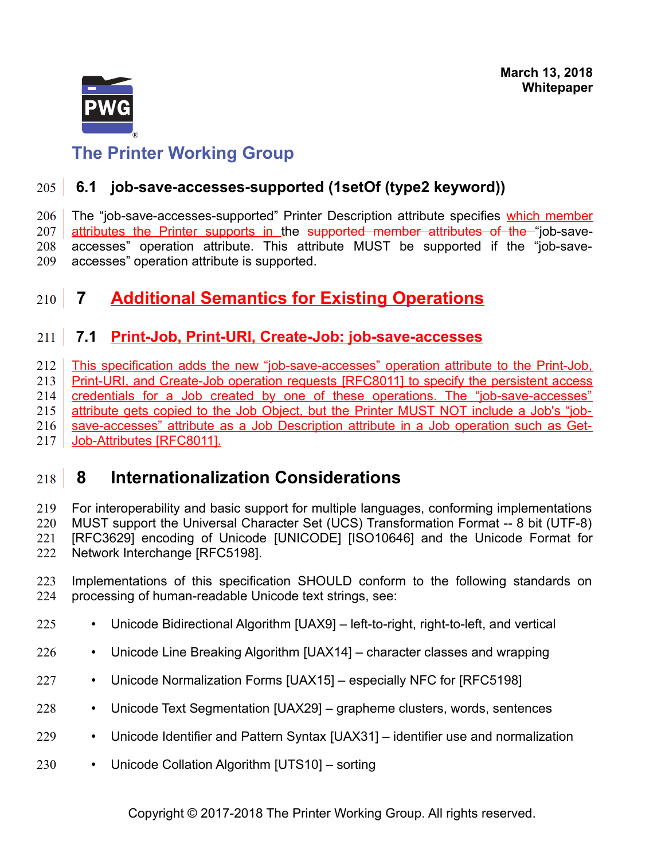

# <span id="page-10-3"></span> **6.1 job-save-accesses-supported (1setOf (type2 keyword))** 205

The "job-save-accesses-supported" Printer Description attribute specifies which member attributes the Printer supports in the supported member attributes of the "job-saveaccesses" operation attribute. This attribute MUST be supported if the "job-saveaccesses" operation attribute is supported. 206 207 208 209

## <span id="page-10-2"></span> **7 Additional Semantics for Existing Operations** 210

## <span id="page-10-1"></span> **7.1 Print-Job, Print-URI, Create-Job: job-save-accesses** 211

This specification adds the new "job-save-accesses" operation attribute to the Print-Job, Print-URI, and Create-Job operation requests [\[RFC8011\]](#page-14-8) to specify the persistent access credentials for a Job created by one of these operations. The "job-save-accesses" attribute gets copied to the Job Object, but the Printer MUST NOT include a Job's "jobsave-accesses" attribute as a Job Description attribute in a Job operation such as Get-Job-Attributes [\[RFC8011\].](#page-14-8) 212 213 214 215 216 217

## <span id="page-10-0"></span> **8 Internationalization Considerations** 218

For interoperability and basic support for multiple languages, conforming implementations MUST support the Universal Character Set (UCS) Transformation Format -- 8 bit (UTF-8) [RFC3629] encoding of Unicode [\[UNICODE\]](#page-14-7) [\[ISO10646\]](#page-13-2) and the Unicode Format for Network Interchange [\[RFC5198\].](#page-13-1) 219 220 221 222

- Implementations of this specification SHOULD conform to the following standards on processing of human-readable Unicode text strings, see: 223 224
- Unicode Bidirectional Algorithm [\[UAX9\]](#page-14-6)  left-to-right, right-to-left, and vertical 225
- Unicode Line Breaking Algorithm [\[UAX14\]](#page-14-5)  character classes and wrapping 226
- Unicode Normalization Forms [\[UAX15\]](#page-14-4)  especially NFC for [\[RFC5198\]](#page-13-1) 227
- Unicode Text Segmentation [\[UAX29\]](#page-14-3)  grapheme clusters, words, sentences 228
- Unicode Identifier and Pattern Syntax [\[UAX31\]](#page-14-2)  identifier use and normalization 229
- Unicode Collation Algorithm [\[UTS10\]](#page-14-1)  sorting 230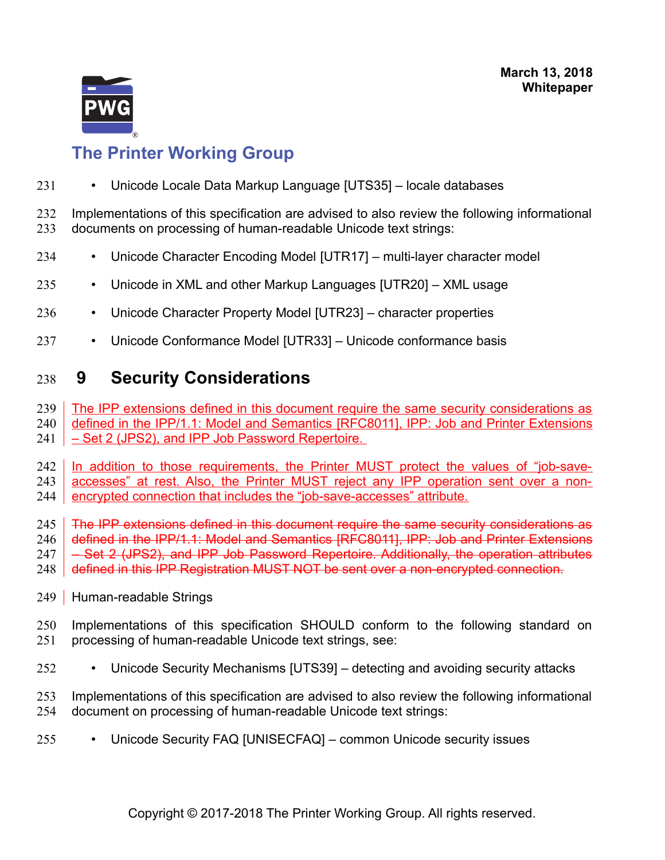

• Unicode Locale Data Markup Language [\[UTS35\]](#page-15-8) – locale databases 231

Implementations of this specification are advised to also review the following informational documents on processing of human-readable Unicode text strings: 232 233

- Unicode Character Encoding Model [\[UTR17\]](#page-15-7)  multi-layer character model 234
- Unicode in XML and other Markup Languages [\[UTR20\]](#page-15-6)  XML usage 235
- Unicode Character Property Model [\[UTR23\]](#page-15-5)  character properties 236
- Unicode Conformance Model [\[UTR33\]](#page-15-4)  Unicode conformance basis 237

## <span id="page-11-1"></span> **9 Security Considerations** 238

The IPP extensions defined in this document require the same security considerations as 239

defined in the IPP/1.1: Model and Semantics [\[RFC8011\],](#page-14-8) IPP: Job and Printer Extensions 240

– Set 2 (JPS2), and IPP Job Password Repertoire. 241

In addition to those requirements, the Printer MUST protect the values of "job-saveaccesses" at rest. Also, the Printer MUST reject any IPP operation sent over a non-242 243

encrypted connection that includes the "job-save-accesses" attribute. 244

The IPP extensions defined in this document require the same security considerations as 245

defined in the IPP/1.1: Model and Semantics [\[RFC8011\],](#page-14-8) IPP: Job and Printer Extensions 246

– Set 2 (JPS2), and IPP Job Password Repertoire. Additionally, the operation attributes 247

defined in this IPP Registration MUST NOT be sent over a non-encrypted connection. 248

- <span id="page-11-0"></span>Human-readable Strings 249
- Implementations of this specification SHOULD conform to the following standard on processing of human-readable Unicode text strings, see: 250 251
- Unicode Security Mechanisms [\[UTS39\]](#page-15-3)  detecting and avoiding security attacks 252

Implementations of this specification are advised to also review the following informational document on processing of human-readable Unicode text strings: 253 254

• Unicode Security FAQ [\[UNISECFAQ\]](#page-15-2) – common Unicode security issues 255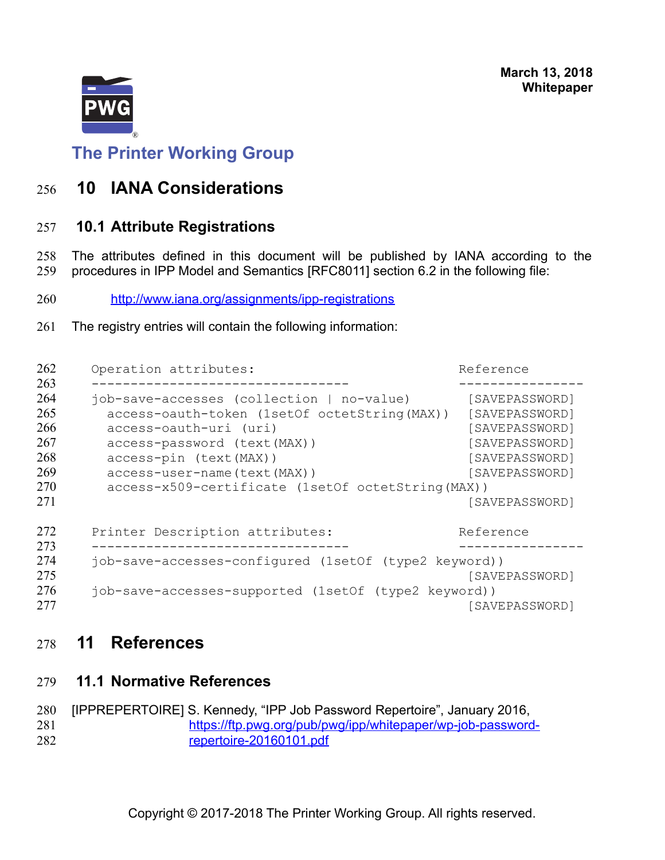

<span id="page-12-3"></span>**The Printer Working Group**

## **10 IANA Considerations** 256

## <span id="page-12-2"></span> **10.1 Attribute Registrations** 257

The attributes defined in this document will be published by IANA according to the procedures in IPP Model and Semantics [\[RFC8011\]](#page-14-8) section 6.2 in the following file: 258 259

- <http://www.iana.org/assignments/ipp-registrations> 260
- The registry entries will contain the following information: 261

| Operation attributes:                                                                                                                                                                                            | Reference                                                                                                |  |
|------------------------------------------------------------------------------------------------------------------------------------------------------------------------------------------------------------------|----------------------------------------------------------------------------------------------------------|--|
| job-save-accesses (collection   no-value)<br>access-oauth-token (1setOf octetString (MAX))<br>access-oauth-uri (uri)<br>access-password (text (MAX))<br>access-pin (text (MAX))<br>access-user-name (text (MAX)) | [SAVEPASSWORD]<br>[SAVEPASSWORD]<br>[SAVEPASSWORD]<br>[SAVEPASSWORD]<br>[SAVEPASSWORD]<br>[SAVEPASSWORD] |  |
| access-x509-certificate (1setOf octetString (MAX))                                                                                                                                                               | [SAVEPASSWORD]                                                                                           |  |
| Printer Description attributes:                                                                                                                                                                                  | Reference                                                                                                |  |
| job-save-accesses-configured (1setOf (type2 keyword))<br>[SAVEPASSWORD]<br>job-save-accesses-supported (1setOf (type2 keyword))                                                                                  |                                                                                                          |  |
|                                                                                                                                                                                                                  | [SAVEPASSWORD]                                                                                           |  |

## <span id="page-12-1"></span> **11 References** 278

<span id="page-12-0"></span> **11.1 Normative References** 279

[IPPREPERTOIRE] S. Kennedy, "IPP Job Password Repertoire", January 2016, [https://ftp.pwg.org/pub/pwg/ipp/whitepaper/wp-job-password](https://ftp.pwg.org/pub/pwg/ipp/whitepaper/wp-job-password-repertoire-20160101.pdf)[repertoire-20160101.pdf](https://ftp.pwg.org/pub/pwg/ipp/whitepaper/wp-job-password-repertoire-20160101.pdf) 280 281 282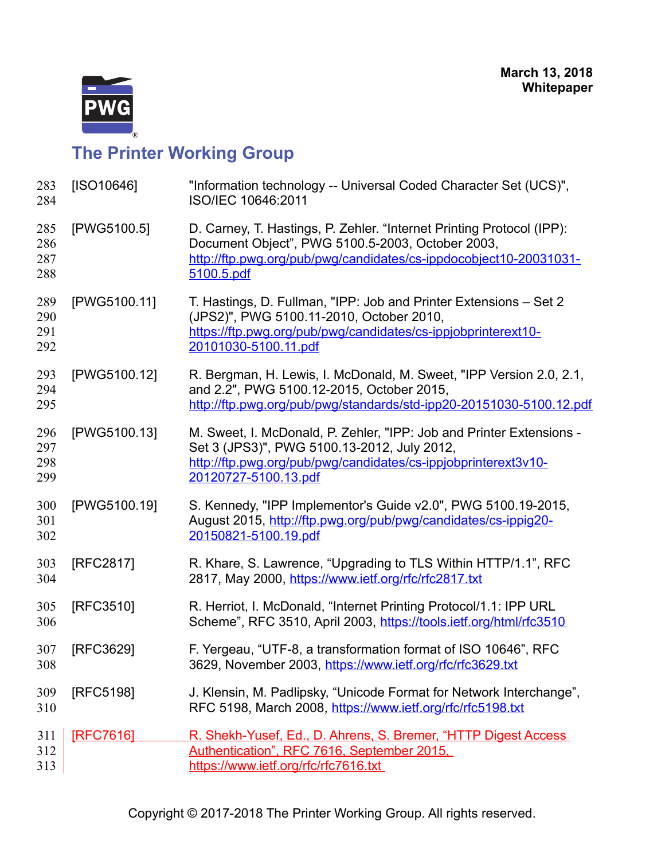

<span id="page-13-2"></span><span id="page-13-1"></span><span id="page-13-0"></span>

| 283<br>284               | [ISO10646]       | "Information technology -- Universal Coded Character Set (UCS)",<br>ISO/IEC 10646:2011                                                                                                                        |
|--------------------------|------------------|---------------------------------------------------------------------------------------------------------------------------------------------------------------------------------------------------------------|
| 285<br>286<br>287<br>288 | [PWG5100.5]      | D. Carney, T. Hastings, P. Zehler. "Internet Printing Protocol (IPP):<br>Document Object", PWG 5100.5-2003, October 2003,<br>http://ftp.pwg.org/pub/pwg/candidates/cs-ippdocobject10-20031031-<br>5100.5.pdf  |
| 289<br>290<br>291<br>292 | [PWG5100.11]     | T. Hastings, D. Fullman, "IPP: Job and Printer Extensions – Set 2<br>(JPS2)", PWG 5100.11-2010, October 2010,<br>https://ftp.pwg.org/pub/pwg/candidates/cs-ippjobprinterext10-<br>20101030-5100.11.pdf        |
| 293<br>294<br>295        | [PWG5100.12]     | R. Bergman, H. Lewis, I. McDonald, M. Sweet, "IPP Version 2.0, 2.1,<br>and 2.2", PWG 5100.12-2015, October 2015,<br>http://ftp.pwg.org/pub/pwg/standards/std-ipp20-20151030-5100.12.pdf                       |
| 296<br>297<br>298<br>299 | [PWG5100.13]     | M. Sweet, I. McDonald, P. Zehler, "IPP: Job and Printer Extensions -<br>Set 3 (JPS3)", PWG 5100.13-2012, July 2012,<br>http://ftp.pwg.org/pub/pwg/candidates/cs-ippjobprinterext3v10-<br>20120727-5100.13.pdf |
| 300<br>301<br>302        | [PWG5100.19]     | S. Kennedy, "IPP Implementor's Guide v2.0", PWG 5100.19-2015,<br>August 2015, http://ftp.pwg.org/pub/pwg/candidates/cs-ippig20-<br>20150821-5100.19.pdf                                                       |
| 303<br>304               | [RFC2817]        | R. Khare, S. Lawrence, "Upgrading to TLS Within HTTP/1.1", RFC<br>2817, May 2000, https://www.ietf.org/rfc/rfc2817.txt                                                                                        |
| 305<br>306               | [RFC3510]        | R. Herriot, I. McDonald, "Internet Printing Protocol/1.1: IPP URL<br>Scheme", RFC 3510, April 2003, https://tools.ietf.org/html/rfc3510                                                                       |
| 307<br>308               | [RFC3629]        | F. Yergeau, "UTF-8, a transformation format of ISO 10646", RFC<br>3629, November 2003, https://www.ietf.org/rfc/rfc3629.txt                                                                                   |
| 309<br>310               | [RFC5198]        | J. Klensin, M. Padlipsky, "Unicode Format for Network Interchange",<br>RFC 5198, March 2008, https://www.ietf.org/rfc/rfc5198.txt                                                                             |
| 311<br>312<br>313        | <b>IRFC76161</b> | R. Shekh-Yusef, Ed., D. Ahrens, S. Bremer, "HTTP Digest Access<br>Authentication", RFC 7616, September 2015,<br>https://www.ietf.org/rfc/rfc7616.txt                                                          |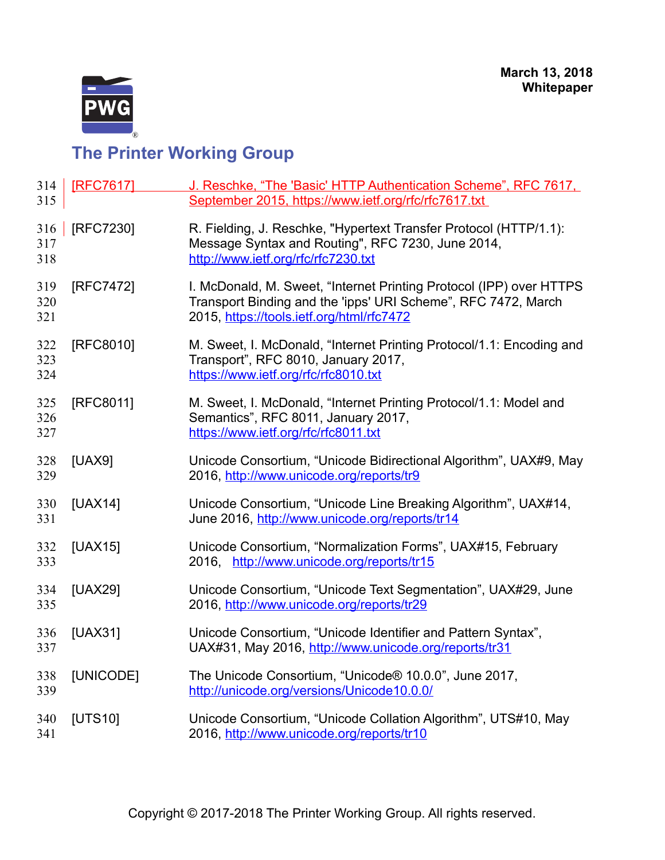

<span id="page-14-8"></span><span id="page-14-7"></span><span id="page-14-6"></span><span id="page-14-5"></span><span id="page-14-4"></span><span id="page-14-3"></span><span id="page-14-2"></span><span id="page-14-1"></span><span id="page-14-0"></span>

| 314<br>315        | [RFC7617] | J. Reschke, "The 'Basic' HTTP Authentication Scheme", RFC 7617,<br>September 2015, https://www.ietf.org/rfc/rfc7617.txt                                                           |
|-------------------|-----------|-----------------------------------------------------------------------------------------------------------------------------------------------------------------------------------|
| 316<br>317<br>318 | [RFC7230] | R. Fielding, J. Reschke, "Hypertext Transfer Protocol (HTTP/1.1):<br>Message Syntax and Routing", RFC 7230, June 2014,<br>http://www.ietf.org/rfc/rfc7230.txt                     |
| 319<br>320<br>321 | [RFC7472] | I. McDonald, M. Sweet, "Internet Printing Protocol (IPP) over HTTPS<br>Transport Binding and the 'ipps' URI Scheme", RFC 7472, March<br>2015, https://tools.ietf.org/html/rfc7472 |
| 322<br>323<br>324 | [RFC8010] | M. Sweet, I. McDonald, "Internet Printing Protocol/1.1: Encoding and<br>Transport", RFC 8010, January 2017,<br>https://www.ietf.org/rfc/rfc8010.txt                               |
| 325<br>326<br>327 | [RFC8011] | M. Sweet, I. McDonald, "Internet Printing Protocol/1.1: Model and<br>Semantics", RFC 8011, January 2017,<br>https://www.ietf.org/rfc/rfc8011.txt                                  |
| 328<br>329        | [UAX9]    | Unicode Consortium, "Unicode Bidirectional Algorithm", UAX#9, May<br>2016, http://www.unicode.org/reports/tr9                                                                     |
| 330<br>331        | $[UAX14]$ | Unicode Consortium, "Unicode Line Breaking Algorithm", UAX#14,<br>June 2016, http://www.unicode.org/reports/tr14                                                                  |
| 332<br>333        | [UAX15]   | Unicode Consortium, "Normalization Forms", UAX#15, February<br>2016, http://www.unicode.org/reports/tr15                                                                          |
| 334<br>335        | [UAX29]   | Unicode Consortium, "Unicode Text Segmentation", UAX#29, June<br>2016, http://www.unicode.org/reports/tr29                                                                        |
| 336<br>337        | [UAX31]   | Unicode Consortium, "Unicode Identifier and Pattern Syntax",<br>UAX#31, May 2016, http://www.unicode.org/reports/tr31                                                             |
| 338<br>339        | [UNICODE] | The Unicode Consortium, "Unicode® 10.0.0", June 2017,<br>http://unicode.org/versions/Unicode10.0.0/                                                                               |
| 340<br>341        | [UTS10]   | Unicode Consortium, "Unicode Collation Algorithm", UTS#10, May<br>2016, http://www.unicode.org/reports/tr10                                                                       |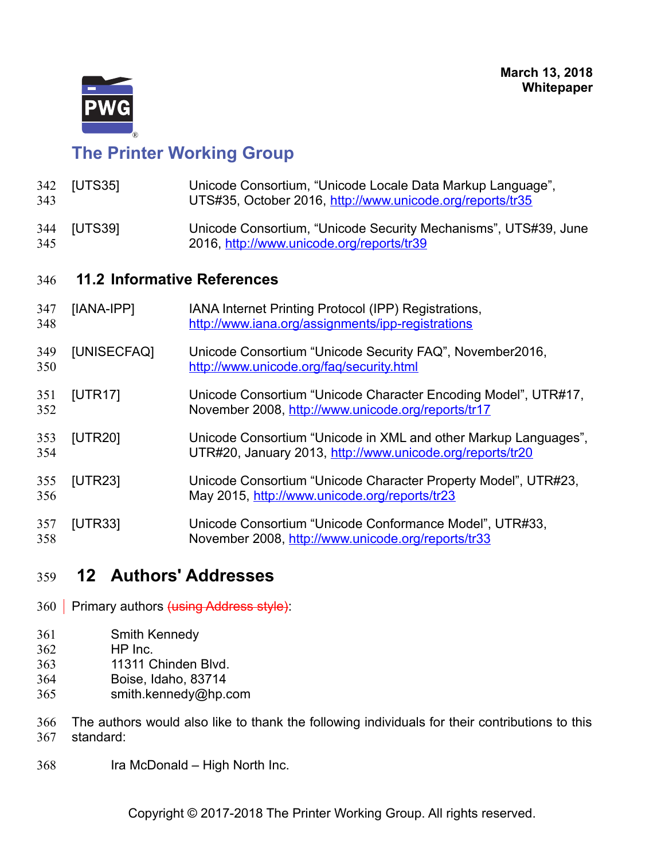

<span id="page-15-8"></span><span id="page-15-3"></span><span id="page-15-2"></span><span id="page-15-1"></span>

| 342<br>343 | [UTS35]                            | Unicode Consortium, "Unicode Locale Data Markup Language",<br>UTS#35, October 2016, http://www.unicode.org/reports/tr35      |  |
|------------|------------------------------------|------------------------------------------------------------------------------------------------------------------------------|--|
| 344<br>345 | [UTS39]                            | Unicode Consortium, "Unicode Security Mechanisms", UTS#39, June<br>2016, http://www.unicode.org/reports/tr39                 |  |
| 346        | <b>11.2 Informative References</b> |                                                                                                                              |  |
| 347<br>348 | [IANA-IPP]                         | IANA Internet Printing Protocol (IPP) Registrations,<br>http://www.iana.org/assignments/ipp-registrations                    |  |
| 349<br>350 | [UNISECFAQ]                        | Unicode Consortium "Unicode Security FAQ", November2016,<br>http://www.unicode.org/fag/security.html                         |  |
| 351<br>352 | [UTR17]                            | Unicode Consortium "Unicode Character Encoding Model", UTR#17,<br>November 2008, http://www.unicode.org/reports/tr17         |  |
| 353<br>354 | [UTR20]                            | Unicode Consortium "Unicode in XML and other Markup Languages",<br>UTR#20, January 2013, http://www.unicode.org/reports/tr20 |  |
| 355<br>356 | [UTR23]                            | Unicode Consortium "Unicode Character Property Model", UTR#23,<br>May 2015, http://www.unicode.org/reports/tr23              |  |
| 357<br>358 | [UTR33]                            | Unicode Consortium "Unicode Conformance Model", UTR#33,<br>November 2008, http://www.unicode.org/reports/tr33                |  |

## <span id="page-15-7"></span><span id="page-15-6"></span><span id="page-15-5"></span><span id="page-15-4"></span><span id="page-15-0"></span> **12 Authors' Addresses** 359

- 360 Primary authors <del>(using Address style)</del>:
- Smith Kennedy 361
- HP Inc. 362
- 11311 Chinden Blvd. 363
- Boise, Idaho, 83714 364
- smith.kennedy@hp.com 365
- The authors would also like to thank the following individuals for their contributions to this standard: 366 367
- Ira McDonald High North Inc. 368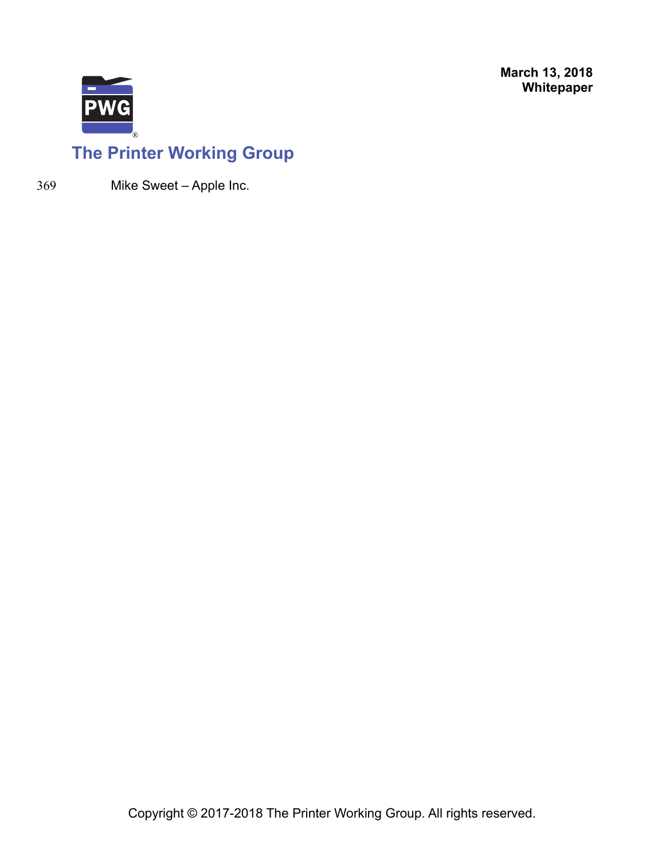

# **The Printer Working Group**

369

Mike Sweet – Apple Inc.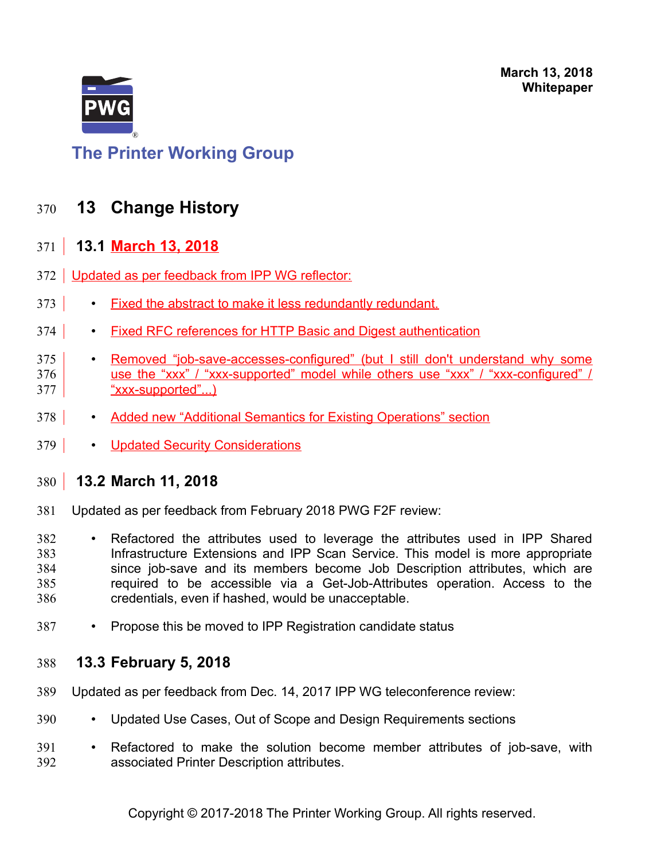

# <span id="page-17-3"></span>**The Printer Working Group**

## **13 Change History** 370

### <span id="page-17-2"></span> **13.1 March 13, 2018**  $371$

- 372 Updated as per feedback from IPP WG reflector:
- Fixed the abstract to make it less redundantly redundant. 373
- Fixed RFC references for HTTP Basic and Digest authentication  $374$
- Removed "job-save-accesses-configured" (but I still don't understand why some use the "xxx" / "xxx-supported" model while others use "xxx" / "xxx-configured" / "xxx-supported"...) 375 376 377
- Added new "Additional Semantics for Existing Operations" section 378
- Updated Security Considerations 379

### <span id="page-17-1"></span> **13.2 March 11, 2018** 380

Updated as per feedback from February 2018 PWG F2F review: 381

• Refactored the attributes used to leverage the attributes used in IPP Shared Infrastructure Extensions and IPP Scan Service. This model is more appropriate since job-save and its members become Job Description attributes, which are required to be accessible via a Get-Job-Attributes operation. Access to the credentials, even if hashed, would be unacceptable. 382 383 384 385 386

• Propose this be moved to IPP Registration candidate status 387

### <span id="page-17-0"></span> **13.3 February 5, 2018** 388

- Updated as per feedback from Dec. 14, 2017 IPP WG teleconference review: 389
- Updated Use Cases, Out of Scope and Design Requirements sections 390
- Refactored to make the solution become member attributes of job-save, with associated Printer Description attributes. 391 392